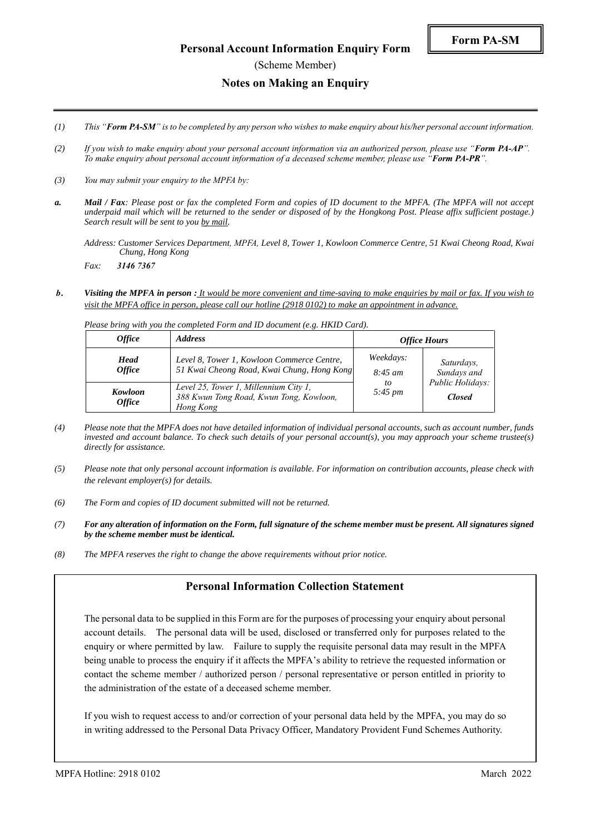- *(2) If you wish to make enquiry about your personal account information via an authorized person, please use "Form PA-AP". To make enquiry about personal account information of a deceased scheme member, please use "Form PA-PR".*
- *(3) You may submit your enquiry to the MPFA by:*
- *a. Mail / Fax: Please post or fax the completed Form and copies of ID document to the MPFA. (The MPFA will not accept underpaid mail which will be returned to the sender or disposed of by the Hongkong Post. Please affix sufficient postage.) Search result will be sent to you by mail.*

*Address: Customer Services Department, MPFA, Level 8, Tower 1, Kowloon Commerce Centre, 51 Kwai Cheong Road, Kwai Chung, Hong Kong*

*Fax: 3146 7367*

*b. Visiting the MPFA in person : It would be more convenient and time-saving to make enquiries by mail or fax. If you wish to visit the MPFA office in person, please call our hotline (2918 0102) to make an appointment in advance.*

*Please bring with you the completed Form and ID document (e.g. HKID Card).*

| <i><b>Office</b></i>                | <i><b>Address</b></i>                                                                         | <b>Office Hours</b>                        |                                                                |
|-------------------------------------|-----------------------------------------------------------------------------------------------|--------------------------------------------|----------------------------------------------------------------|
| <b>Head</b><br><i><b>Office</b></i> | Level 8, Tower 1, Kowloon Commerce Centre,<br>51 Kwai Cheong Road, Kwai Chung, Hong Kong      | Weekdays:<br>$8:45 \; am$<br>to<br>5:45 pm | Saturdays,<br>Sundays and<br>Public Holidays:<br><b>Closed</b> |
| Kowloon<br><i><b>Office</b></i>     | Level 25, Tower 1, Millennium City 1,<br>388 Kwun Tong Road, Kwun Tong, Kowloon,<br>Hong Kong |                                            |                                                                |

- *(4) Please note that the MPFA does not have detailed information of individual personal accounts, such as account number, funds invested and account balance. To check such details of your personal account(s), you may approach your scheme trustee(s) directly for assistance.*
- *(5) Please note that only personal account information is available. For information on contribution accounts, please check with the relevant employer(s) for details.*
- *(6) The Form and copies of ID document submitted will not be returned.*
- *(7) For any alteration of information on the Form, full signature of the scheme member must be present. All signatures signed by the scheme member must be identical.*
- *(8) The MPFA reserves the right to change the above requirements without prior notice.*

## **Personal Information Collection Statement**

The personal data to be supplied in this Form are for the purposes of processing your enquiry about personal account details. The personal data will be used, disclosed or transferred only for purposes related to the enquiry or where permitted by law. Failure to supply the requisite personal data may result in the MPFA being unable to process the enquiry if it affects the MPFA's ability to retrieve the requested information or contact the scheme member / authorized person / personal representative or person entitled in priority to the administration of the estate of a deceased scheme member.

If you wish to request access to and/or correction of your personal data held by the MPFA, you may do so in writing addressed to the Personal Data Privacy Officer, Mandatory Provident Fund Schemes Authority.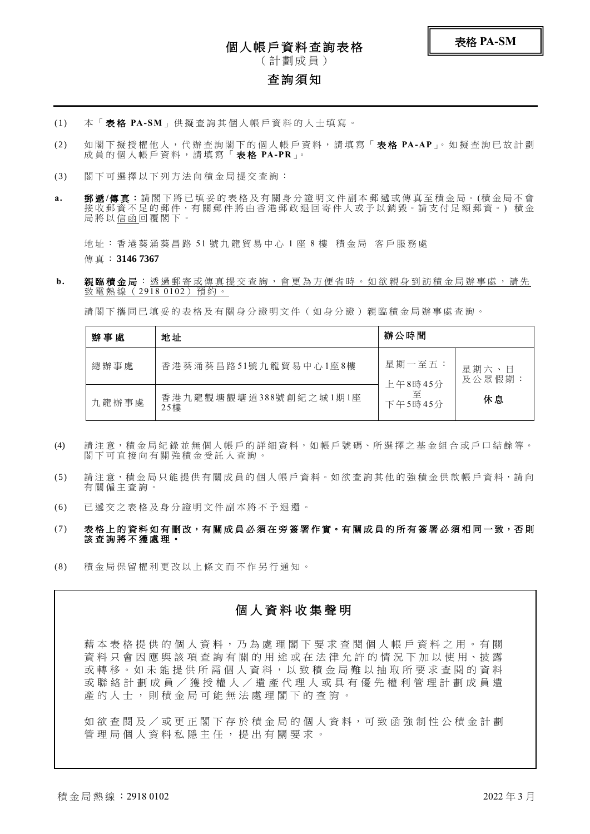# 個人帳戶資料查詢表格

( 計 劃 成 員 )

## 查詢須知

- (1) 本 「 表 格 **PA-SM**」 供 擬 查 詢 其 個 人 帳 戶 資 料 的 人 士 填 寫 。
- (2) 如 閣 下 擬 授 權 他 人 , 代 辦 查 詢 閣 下 的 個 人 帳 戶 資 料 , 請 填 寫 「 表 格 **PA-AP**」。 如 擬 查 詢 已 故 計 劃 成 員 的 個 人 帳 戶 資 料 , 請 填 寫 「 表 格 **PA-PR**」。
- (3) 閣 下 可 選 擇 以 下 列 方 法 向 積 金 局 提 交 查 詢 :
- a. 郵遞/傳真:請閣下將已填妥的表格及有關身分證明文件副本郵遞或傳真至積金局。(積金局不會 接收郵資不足的郵件,有關郵件將由香港郵政退回寄件人或予以銷毀。請支付足額郵資。)積金 局將以<u>信函</u>回覆閣下。

地址:香港葵涌葵昌路 51 號九龍貿易中心 1 座 8 樓 積金局 客戶服務處

傳 真 : **3146 7367**

b. 親臨積金局:透過郵寄或傳真提交查詢,會更為方便省時。如欲親身到訪積金局辦事處,請先 致雷熱線 (2918 0102) 預約。

請閣下攜同已填妥的表格及有關身分證明文件(如身分證)親臨積金局辦事處杳詢。

| 辦事處   | 地址                           | 辦公時間                    |                 |
|-------|------------------------------|-------------------------|-----------------|
| 總辦事處  | 香港葵涌葵昌路51號九龍貿易中心1座8樓         | 星期一至五:                  | 星期六、日<br>及公眾假期: |
| 九龍辦事處 | 香港九龍觀塘觀塘道388號創紀之城1期1座<br>25樓 | 上午8時45分<br>至<br>下午5時45分 | 休息              |

- (4) 請注意,積金局紀錄並無個人帳戶的詳細資料,如帳戶號碼、所選擇之基金組合或戶口結餘等。 閣 下 可 直 接 向 有 關 強 積 金 受 託 人 查 詢 。
- (5) 請注意,積金局只能提供有關成員的個人帳戶資料。如欲查詢其他的強積金供款帳戶資料,請向 有關僱主查詢。
- (6) 已 遞 交 之 表 格 及 身 分 證 明 文 件 副 本 將 不 予 退 還 。

### (7) 表格上的資料如有刪改,有關成員必須在旁簽署作實。有關成員的所有簽署必須相同一致,否則 該 查 詢 將 不 獲 處 理 。

(8) 積 金 局 保 留 權 利 更 改 以 上 條 文 而 不 作 另 行 通 知 。

# 個 人 資 料 收 集 聲 明

藉 本 表 格 提 供 的 個 人 資 料 , 乃 為 處 理 閣 下 要 求 查 閱 個 人 帳 戶 資 料 之 用 。 有 關 資 料 只 會 因 應 與 該 項 查 詢 有 關 的 用 途 或 在 法 律 允 許 的 情 況 下 加 以 使 用、披 露 或 轉 移。 如 未 能 提 供 所 需 個 人 資 料, 以 致 積 金 局 難 以 抽 取 所 要 求 杳 閲 的 資 料 或聯絡計劃成員/獲授權人/遺產代理人 或具有優先權利管理計劃成員遺 產的人士,則積金局可能無法處理閣下的查詢。

如 欲 查 閱 及 / 或 更 正 閣 下 存 於 積 金 局 的 個 人 資 料, 可 致 函 強 制 性 公 積 金 計 劃 管 理 局 個 人 資 料 私 隱 主 任 , 提 出 有 關 要 求 。